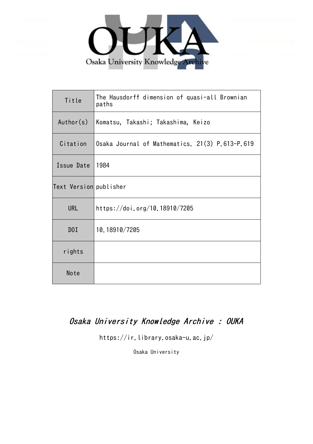

| Title                  | The Hausdorff dimension of quasi-all Brownian<br>paths |
|------------------------|--------------------------------------------------------|
| Author(s)              | Komatsu, Takashi; Takashima, Keizo                     |
| Citation               | Osaka Journal of Mathematics. 21(3) P.613-P.619        |
| Issue Date             | 1984                                                   |
| Text Version publisher |                                                        |
| <b>URL</b>             | https://doi.org/10.18910/7205                          |
| D0I                    | 10.18910/7205                                          |
| rights                 |                                                        |
| Note                   |                                                        |

## Osaka University Knowledge Archive : OUKA

https://ir.library.osaka-u.ac.jp/

Osaka University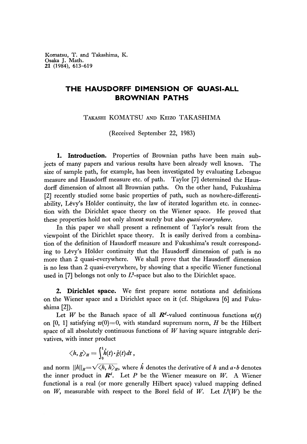Komatsu, T. and Takashima, K. Osaka J. Math. 21 (1984), 613-619

## **THE HAUSDORFF DIMENSION OF QUASI-ALL BROWNIAN PATHS**

TAKASHI KOMATSU AND KEIZO TAKASHIMA

(Received September 22, 1983)

**1. Introduction.** Properties of Brownίan paths have been main subjects of many papers and various results have been already well known. The size of sample path, for example, has been investigated by evaluating Lebesgue measure and Hausdorff measure etc. of path. Taylor [7] determined the Hausdorff dimension of almost all Brownian paths. On the other hand, Fukushima [2] recently studied some basic properties of path, such as nowhere-differentiability, Lέvy's Holder continuity, the law of iterated logarithm etc. in connection with the Dirichlet space theory on the Wiener space. He proved that these properties hold not only almost surely but also *quasi-e very where.*

In this paper we shall present a refinement of Taylor's result from the viewpoint of the Dirichlet space theory. It is easily derived from a combination of the definition of Hausdorff measure and Fukushima's result corresponding to Lévy's Hölder continuity that the Hausdorff dimension of path is no more than 2 quasi-everywhere. We shall prove that the Hausdorff dimension is no less than 2 quasi-everywhere, by showing that a specific Wiener functional used in [7] belongs not only to  $L^2$ -space but also to the Dirichlet space.

**2. Dirichlet space.** We first prepare some notations and definitions on the Wiener space and a Dirichlet space on it (cf. Shigekawa [6] and Fukushima [2]).

Let *W* be the Banach space of all  $\mathbb{R}^d$ -valued continuous functions  $w(t)$ on [0, 1] satisfying  $w(0)=0$ , with standard supremum norm, *H* be the Hilbert space of all absolutely continuous functions of *W* having square integrable derivatives, with inner product

$$
\langle h, g \rangle_H = \int_0^1 \dot{h}(t) \cdot \dot{g}(t) dt,
$$

and norm  $\|h\|_{H}=\sqrt{\langle h, h \rangle_{H}}$ , where *h* denotes the derivative of *h* and *a b* denotes the inner product in  $\mathbb{R}^d$ . Let P be the Wiener measure on W. A Wiener functional is a real (or more generally Hubert space) valued mapping defined on *W*, measurable with respect to the Borel field of *W*. Let  $L^2(W)$  be the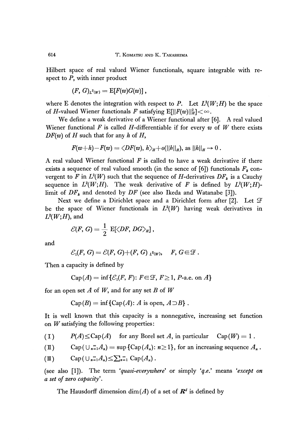Hilbert space of real valued Wiener functionals, square integrable with respect to P, with inner product

$$
(F, G)_{L^2(W)} = \mathrm{E}[F(w)G(w)],
$$

where E denotes the integration with respect to P. Let  $L^2(W;H)$  be the space of H-valued Wiener functionals F satisfying  $\mathrm{E}[||F(w)||^2_H] < \infty$ .

We define a weak derivative of a Wiener functional after [6], A real valued Wiener functional  $F$  is called  $H$ -differentiable if for every  $w$  of  $W$  there exists *DF(w)* of *H* such that for any *h* of *H,*

$$
F(w+h)-F(w)=\langle DF(w), h\rangle_H+o(||h||_H), \text{ as } ||h||_H\to 0.
$$

A real valued Wiener functional *F* is called to have a weak derivative if there exists a sequence of real valued smooth (in the sence of [6]) functionals  $F_k$  convergent to F in  $L^2(W)$  such that the sequence of H-derivatives  $DF_k$  is a Cauchy sequence in  $L^2(W;H)$ . The weak derivative of F is defined by  $L^2(W;H)$ limit of *DF<sup>k</sup>* and denoted by *DF* (see also Ikeda and Watanabe [3]).

Next we define a Dirichlet space and a Dirichlet form after [2]. Let  $\mathcal F$ be the space of Wiener functionals in  $L^2(W)$  having weak derivatives in  $L^2(W;H)$ , and

$$
\mathcal{E}(F,\,G)=\frac{1}{2}\,\,\mathrm{E}[\big\langle DF,\, DG\big\rangle_H]\,,
$$

and

$$
\mathcal{E}_1(F, G) = \mathcal{E}(F, G) + (F, G)_{L^2(W)}, \quad F, G \in \mathcal{F}.
$$

Then a capacity is defined by

Cap
$$
(A)
$$
 = inf ${\mathcal{E}_1(F, F): F \in \mathcal{F}, F \ge 1, P$ -a.e. on A}

for an open set A of W, and for any set B of W

 $Cap(B) = inf \{Cap(A): A \text{ is open}, A \supset B\}.$ 

It is well known that this capacity is a nonnegative, increasing set function on *W* satisfying the following properties :

(1)  $P(A) \leq \text{Cap}(A)$  for any Borel set A, in particular  $\text{Cap}(W) = 1$ .

(II) Cap( $\bigcup_{n=1}^{\infty} A_n$ ) = sup {Cap( $A_n$ ):  $n \ge 1$ }, for an increasing sequence  $A_n$ .

$$
(1\!I) \qquad \operatorname{Cap}(\bigcup_{n=1}^{\infty} A_n) \leq \sum_{n=1}^{\infty} \operatorname{Cap}(A_n).
$$

(see also [1]). The term ' *'quasi-every where\** or simply *'q.e.'* means *'except on a set of zero capacity'.*

The Hausdorff dimension  $\dim(A)$  of a set of  $\mathbb{R}^d$  is defined by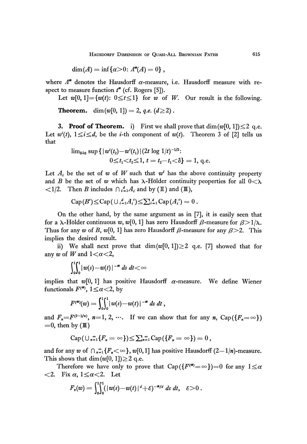HAUSDORFF DIMENSION OF QUASI-ALL BROWNIAN PATHS 615

$$
\dim(A) = \inf \{ \alpha > 0 \colon \Lambda^{\mathfrak{a}}(A) = 0 \},
$$

where *Λ"* denotes the Hausdorff α-measure, i.e. Hausdorff measure with respect to measure function  $t^{\alpha}$  (cf. Rogers [5]).

Let  $w[0, 1] = \{w(t): 0 \le t \le 1\}$  for  $w$  of  $W$ . Our result is the following.

**Theorem.** dim( $w[0, 1]$ ) = 2, *q.e.* ( $d \ge 2$ ).

**3. Proof of Theorem.** i) First we shall prove that  $\dim(w[0, 1]) \leq 2$  q.e. Let  $w^{i}(t)$ ,  $1 \leq i \leq d$ , be the *i*-th component of  $w(t)$ . Theorem 3 of [2] tells us that

$$
\begin{aligned} \lim_{\delta\downarrow 0} \sup \left\{ &\, |w^i(t_2)\!-\!w^i(t_1)| (2t\,\log\,1\!/\!t)^{-1/2} \right. \\ &\qquad \qquad 0\!\leq\! t_1\!\!<\! t_2\!\leq\! 1,\, t=t_2\!-\!t_1\!\!<\!\delta \right\}=1,\, \text{q.e.} \end{aligned}
$$

Let  $A_i$  be the set of  $w$  of  $W$  such that  $w^i$  has the above continuity property and *B* be the set of w which has  $\lambda$ -Hölder continuity peoperties for all  $0 \leq \lambda$  $\langle 1/2$ . Then *B* includes  $\bigcap_{i=1}^{d} A_i$  and by (II) and (III),

$$
\operatorname{Cap}(B^c) \leq \operatorname{Cap}(\cup_{i=1}^d A_i^c) \leq \sum_{i=1}^d \operatorname{Cap}(A_i^c) = 0.
$$

On the other hand, by the same argument as in [7], it is easily seen that for a  $\lambda$ -Hölder continuous w, w[0, 1] has zero Hausdorff  $\beta$ -measure for  $\beta > 1/\lambda$ . Thus for any w of B,  $w[0, 1]$  has zero Hausdorff  $\beta$ -measure for any  $\beta > 2$ . This implies the desired result.

ii) We shall next prove that  $\dim(w[0, 1]) \geq 2$  q.e. [7] showed that for any w of W and  $1 < \alpha < 2$ ,

$$
\int_0^1 \int_0^1 |w(s)-w(t)|^{-\alpha} ds dt < \infty
$$

implies that  $w[0, 1]$  has positive Hausdorff  $\alpha$ -measure. We define Wiener functionals  $F^{(\infty)}$ ,  $1 \le \alpha < 2$ , by

$$
F^{(a)}(w) = \int_0^1 \int_0^1 |w(s)-w(t)|^{-a} \, ds \, dt \, ,
$$

and  $F_n = F^{(2-1/n)}$ ,  $n=1, 2, \dots$ . If we can show that for any n, Cap( $\{F_n = \infty\}$ )  $=0$ , then by  $(\mathbb{I})$ 

$$
\mathrm{Cap}(\cup_{n=1}^{\infty}\{F_n=\infty\})\leq \sum_{n=1}^{\infty}\mathrm{Cap}(\{F_n=\infty\})=0,
$$

and for any w of  $\bigcap_{n=1}^{\infty} \{F_n<\infty\}$ , w[0,1] has positive Hausdorff (2–1/n)-measure. This shows that dim $(w[0, 1]) \geq 2$  q.e.

Therefore we have only to prove that  $Cap({F<sup>{(\phi)}} = \infty) = 0</sup>$  for any  $1 \leq \alpha$  $\langle 2. \rangle$  Fix  $\alpha$ ,  $1 \leq \alpha \leq 2$ . Let

$$
F_{e}(w)=\int_{0}^{1}\!\!\!\int_{0}^{1}\!\!\!(|w(s)\!-\!w(t)|^{d}+\varepsilon)^{-\alpha/d}\;ds\;dt,\ \ \, \varepsilon\!>\!0\;.
$$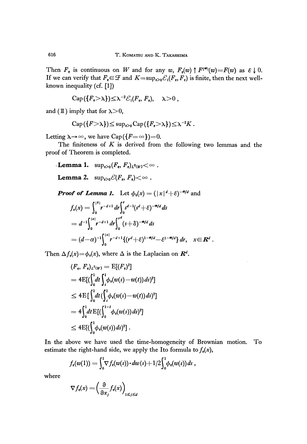Then  $F_{\epsilon}$  is continuous on W and for any w,  $F_{\epsilon}(w) \uparrow F^{(\epsilon)}(w) = F(w)$  as  $\epsilon \downarrow 0$ . If we can verify that  $F_e \in \mathcal{F}$  and  $K = \sup_{e>0} \mathcal{E}_1(F_e, F_e)$  is finite, then the next wellknown inequality (cf. [1])

$$
\operatorname{Cap}(\{F_{\epsilon}>\lambda\})\leq \lambda^{-2}\mathcal{E}_1(F_{\epsilon}, F_{\epsilon}), \quad \lambda>0\;,
$$

and (II) imply that for  $\lambda > 0$ ,

$$
\operatorname{Cap}(\{F > \lambda\}) \leq \sup_{\varepsilon > 0} \operatorname{Cap}(\{F_{\varepsilon} > \lambda\}) \leq \lambda^{-2} K.
$$

Letting  $\lambda \rightarrow \infty$ , we have Cap( $\{F=\infty\}=0$ .

The finiteness of *K* is derived from the following two lemmas and the proof of Theorem is completed.

Lemma 1.  $\sup_{\varepsilon>0} (F_{\varepsilon}, F_{\varepsilon})$ 

**Lemma 2.**  $\sup_{\varepsilon>0} \mathcal{C}(F_{\varepsilon}, F_{\varepsilon}) < \infty$ .

*Proof of Lemma 1.* Let  $\phi_{\epsilon}(x) = (|\x|^d + \epsilon)^{-\omega/d}$  and

$$
f_{\epsilon}(x) = \int_0^{|x|} r^{-d+1} dr \int_0^r s^{d-1} (s^d + \epsilon)^{-\alpha/d} ds
$$
  
=  $d^{-1} \int_0^{|x|} r^{-d+1} dr \int_0^r (s+\delta)^{-\alpha/d} ds$   
=  $(d-\alpha)^{-1} \int_0^{|x|} r^{-d+1} \{ (r^d + \epsilon)^{1-\alpha/d} - \epsilon^{1-\alpha/d} \} dr, \quad x \in \mathbb{R}^d.$ 

Then  $\Delta f_{\epsilon}(x) = \phi_{\epsilon}(x)$ , where  $\Delta$  is the Laplacian on  $\mathbb{R}^d$ 

$$
(F_e, F_e)_{L^2(W)} = \mathbb{E}[(F_e)^2]
$$
  
=  $4\mathbb{E}[(\int_0^1 dt \int_t^1 \phi_e(w(s) - w(t)) ds)^2]$   
 $\leq 4\mathbb{E}[\int_0^1 dt (\int_t^1 \phi_e(w(s) - w(t)) ds)^2]$   
=  $4\int_0^1 dt \mathbb{E}[(\int_0^{1-t} \phi_e(w(s)) ds)^2]$   
 $\leq 4\mathbb{E}[(\int_0^1 \phi_e(w(s)) ds)^2].$ 

In the above we have used the time-homogeneity of Brownian motion. To estimate the right-hand side, we apply the Ito formula to  $f_{\epsilon}(x)$ ,

$$
f_{\epsilon}(w(1))=\int_0^1 \nabla f_{\epsilon}(w(s))\cdot dw(s)+1/2\int_0^1 \phi_{\epsilon}(w(s))\,ds,
$$

where

$$
\nabla f_{\mathbf{e}}(x) = \left(\frac{\partial}{\partial x_j} f_{\mathbf{e}}(x)\right)_{1 \leq j \leq d}
$$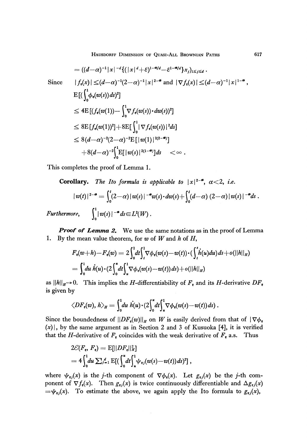HAUSDORFF DIMENSION OF QUASI-ALL BROWNIAN PATHS 617

$$
= ((d-\alpha)^{-1} |x|^{-d} \{ (|x|^d + \varepsilon)^{1-\alpha/d} - \varepsilon^{1-\alpha/d} x_j)_{1 \le j \le d} \}.
$$
  
Since 
$$
|f_{\varepsilon}(x)| \le (d-\alpha)^{-1}(2-\alpha)^{-1} |x|^{2-\alpha} \text{ and } |\nabla f_{\varepsilon}(x)| \le (d-\alpha)^{-1} |x|^{1-\alpha}
$$

$$
E[(\int_0^1 \phi_{\varepsilon}(w(s)) ds)^2]
$$

$$
\le 4E[(f_{\varepsilon}(w(1)) - \int_0^1 \nabla f_{\varepsilon}(w(s)) \cdot dw(s))^2]
$$

$$
\le 8E[f_{\varepsilon}(w(1))^2] + 8E[\int_0^1 |\nabla f_{\varepsilon}(w(s))|^2 ds]
$$

$$
\le 8(d-\alpha)^{-2}(2-\alpha)^{-2}E[|w(1)|^{2(2-\alpha)}]
$$

$$
+ 8(d-\alpha)^{-2}[\int_0^1 E[|w(s)|^{2(1-\alpha)}] ds < \infty .
$$

This completes the proof of Lemma 1.

**Corollary.** The Ito formula is applicable to  $|x|^{2-\alpha}$ ,  $\alpha < 2$ , i.e.  $|w(t)|^{2-\omega} = \int_0^t (2-\alpha) |w(s)|^{-\omega} w(s) \cdot dw(s) + \int_0^t (d-\alpha) (2-\alpha) |w(s)|$ 

*Furthermore,*  $\int_0^1 |w(s)|^{-\alpha} ds \in L^2(W)$ .

*Proof of Lemma 2.* We use the same notations as in the proof of Lemma 1. By the mean value theorem, for  $w$  of  $W$  and  $h$  of  $H$ ,

$$
F_e(w+h) - F_e(w) = 2 \int_0^1 dt \int_t^1 \nabla \phi_e(w(s) - w(t)) \cdot (\int_t^s h(u) du) ds + o(||h||_H)
$$
  
=  $\int_0^1 du \, h(u) \cdot (2 \int_0^u dt \int_u^1 \nabla \phi_e(w(s) - w(t)) ds) + o(||h||_H)$ 

as  $||h||_H \to 0$ . This implies the *H*-differentiability of  $F_{\rm e}$  and its *H*-derivative is given by

$$
\langle DF_{\epsilon}(w), h \rangle_{H} = \int_{0}^{1} du \, h(u) \cdot (2 \int_{0}^{u} dt \int_{u}^{1} \nabla \phi_{\epsilon}(w(s) - w(t)) \, ds) \, .
$$

Since the boundedness of  $||DF_e(w)||_H$  on W is easily derived from that of  $|\nabla\phi|$  $(x)$ , by the same argument as in Section 2 and 3 of Kusuoka [4], it is verified that the *H*-derivative of  $F_e$  coincides with the weak derivative of  $\overline{F}_e$  a.s. Thus

$$
2\mathcal{E}(F_{\epsilon}, F_{\epsilon}) = \mathbb{E}[||DF_{\epsilon}||_H^2]
$$
  
=  $4 \int_0^1 du \sum_{j=1}^d \mathbb{E}[ (\int_0^u dt \int_u^1 \psi_{\epsilon j}(w(s) - w(t)) ds)^2],$ 

where  $\psi_{ij}(x)$  is the *j*-th component of  $\nabla \phi_i(x)$ . Let  $g_{ij}(x)$  be the *j*-th component of  $\nabla f_{\epsilon}(x)$ . Then  $g_{\epsilon j}(x)$  is twice continuously differentiable and  $\Delta g_{\epsilon j}(x)$  $=\psi_{ej}(x)$ . To estimate the above, we again apply the Ito formula to  $g_{ej}(x)$ ,

 $\ddot{\phantom{1}}$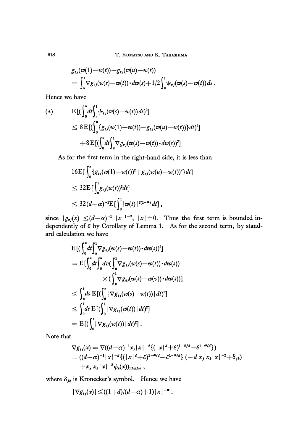T. KOMATSU AND K. TAKASHIMA

$$
g_{\epsilon j}(w(1)-w(t))-g_{\epsilon j}(w(u)-w(t))
$$
  
=  $\int_u^1 \nabla g_{\epsilon j}(w(s)-w(t)) \cdot dw(s)+1/2 \int_u^1 \psi_{\epsilon j}(w(s)-w(t)) ds$ 

Hence we have

$$
(\ast )
$$

$$
E[(\int_0^u dt \int_u^1 \psi_{e_j}(w(s) - w(t)) ds)^2]
$$
  
\n
$$
\leq 8 E[(\int_0^u {\{g_{e_j}(w(1) - w(t)) - g_{e_j}(w(u) - w(t))\} dt})^2]
$$
  
\n
$$
+ 8 E[(\int_0^u dt \int_u^1 \nabla g_{e_j}(w(s) - w(t)) \cdot dw(s))^2]
$$

As for the first term in the right-hand side, it is less than

$$
16E\left[\int_0^u \{g_{\epsilon j}(w(1)-w(t))^2+g_{\epsilon j}(w(u)-w(t))^2\}dt\right]
$$
  
\n
$$
\leq 32E\left[\int_0^1 g_{\epsilon j}(w(t))^2 dt\right]
$$
  
\n
$$
\leq 32(d-\alpha)^{-2}E\left[\int_0^1 |w(t)|^{2(1-\alpha)} dt\right],
$$

since  $|g_{ij}(x)| \leq (d-\alpha)^{-1} |x|^{1-\alpha}$ ,  $|x| \neq 0$ . Thus the first term is bounded independently of  $\varepsilon$  by Corollary of Lemma 1. As for the second term, by standard calculation we have

$$
\begin{split} & \mathrm{E}\left[(\int_{0}^{u}dt\!\!\int_{\mathbf{x}}^{1}\nabla g_{\varepsilon j}(w(s)-w(t))\cdot dw(s))^2\right] \\ &= \mathrm{E}\big[\!\int_{0}^{u}dt\!\!\int_{0}^{u}dv\big(\!\int_{\mathbf{x}}^{1}\nabla g_{\varepsilon j}(w(s)-w(t))\cdot dw(s)\big) \\ &\quad \times (\int_{\mathbf{x}}^{1}\nabla g_{\varepsilon j}(w(s)-w(v))\cdot dw(s))\big] \\ &\leq \int_{u}^{1}ds\,\mathrm{E}\left[(\int_{0}^{u}|\nabla g_{\varepsilon j}(w(s)-w(t))\,|\,dt)^2\right] \\ &\leq \int_{0}^{1}ds\,\mathrm{E}\left[(\int_{0}^{1}|\nabla g_{\varepsilon j}(w(t))\,|\,dt)^2\right] \\ &= \mathrm{E}\left[(\int_{0}^{1}|\nabla g_{\varepsilon j}(w(t))\,|\,dt)^2\right]. \end{split}
$$

Note that

$$
\nabla g_{\epsilon j}(x) = \nabla((d-\alpha)^{-1}x_j |x|^{-d}\{(|x|^d+\epsilon)^{1-\alpha/d}-\epsilon^{1-\alpha/d}\})
$$
  
=  $((d-\alpha)^{-1}|x|^{-d}\{(|x|^d+\epsilon)^{1-\alpha/d}-\epsilon^{1-\alpha/d}\}(-d x_j x_k |x|^{-2}+\delta_{jk})$   
+ $x_j x_k |x|^{-2}\phi_{\epsilon}(x))_{1\leq k\leq d}$ ,

where  $\delta_{jk}$  is Kronecker's symbol. Hence we have

$$
|\nabla g_{\epsilon j}(x)| \leq ((1+d)/(d-\alpha)+1)|x|^{-\alpha}.
$$

618